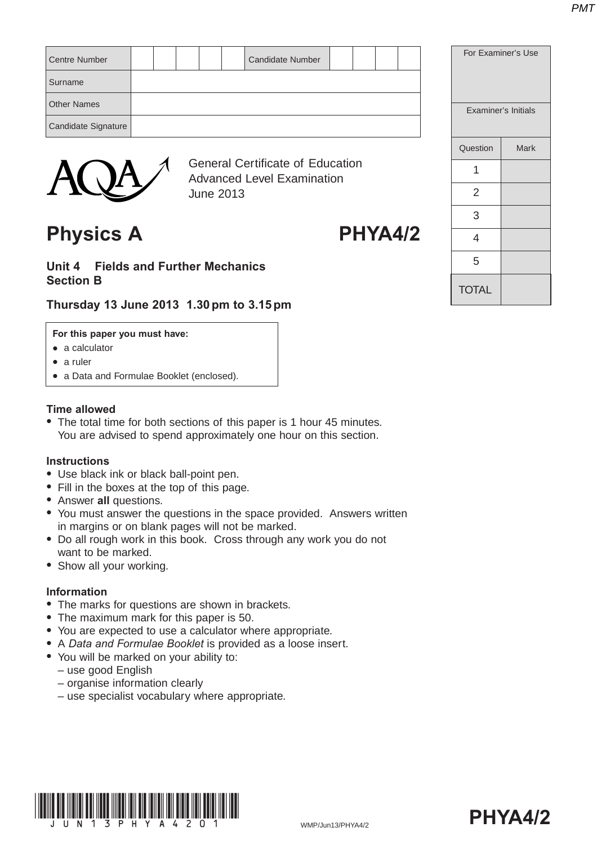| <b>Centre Number</b> |  |  | <b>Candidate Number</b>          |  |  |  |
|----------------------|--|--|----------------------------------|--|--|--|
| Surname              |  |  |                                  |  |  |  |
| <b>Other Names</b>   |  |  |                                  |  |  |  |
| Candidate Signature  |  |  |                                  |  |  |  |
|                      |  |  |                                  |  |  |  |
|                      |  |  | General Certificate of Education |  |  |  |



Certificate of Education Advanced Level Examination June 2013

# Physics A PHYA4/2

## **Unit 4 Fields and Further Mechanics Section B**

# **Thursday 13 June 2013 1.30 pm to 3.15 pm**

#### **For this paper you must have:**

- $\bullet$  a calculator
- $\bullet$  a ruler
- a Data and Formulae Booklet (enclosed).

#### **Time allowed**

• The total time for both sections of this paper is 1 hour 45 minutes. You are advised to spend approximately one hour on this section.

#### **Instructions**

- Use black ink or black ball-point pen.
- Fill in the boxes at the top of this page.
- **Answer all questions.**
- You must answer the questions in the space provided. Answers written in margins or on blank pages will not be marked.
- Do all rough work in this book. Cross through any work you do not want to be marked.
- Show all your working.

#### **Information**

- The marks for questions are shown in brackets.
- The maximum mark for this paper is 50.
- You are expected to use a calculator where appropriate.
- A *Data and Formulae Booklet* is provided as a loose insert.
- You will be marked on your ability to:
	- use good English
	- organise information clearly
	- use specialist vocabulary where appropriate.





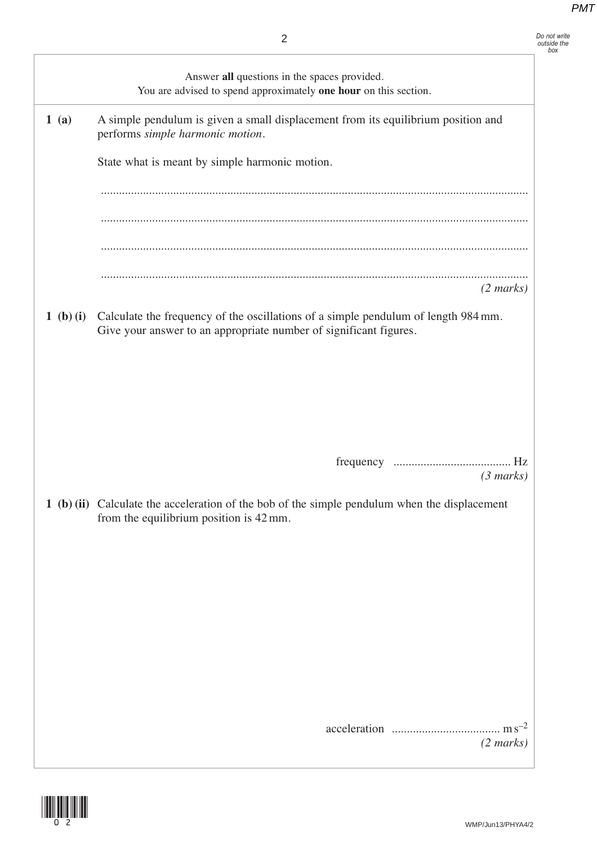*Do not write outside the box*

|           | Answer all questions in the spaces provided.<br>You are advised to spend approximately one hour on this section.                                        |
|-----------|---------------------------------------------------------------------------------------------------------------------------------------------------------|
| 1(a)      | A simple pendulum is given a small displacement from its equilibrium position and<br>performs simple harmonic motion.                                   |
|           | State what is meant by simple harmonic motion.                                                                                                          |
|           |                                                                                                                                                         |
|           |                                                                                                                                                         |
|           |                                                                                                                                                         |
|           | $(2 \text{ marks})$                                                                                                                                     |
| 1 (b) (i) | Calculate the frequency of the oscillations of a simple pendulum of length 984 mm.<br>Give your answer to an appropriate number of significant figures. |
|           |                                                                                                                                                         |
|           |                                                                                                                                                         |
|           |                                                                                                                                                         |
|           | $(3 \text{ marks})$                                                                                                                                     |
|           | 1 (b) (ii) Calculate the acceleration of the bob of the simple pendulum when the displacement<br>from the equilibrium position is 42 mm.                |
|           |                                                                                                                                                         |
|           |                                                                                                                                                         |
|           |                                                                                                                                                         |
|           |                                                                                                                                                         |
|           |                                                                                                                                                         |
|           |                                                                                                                                                         |
|           | $(2 \text{ marks})$                                                                                                                                     |

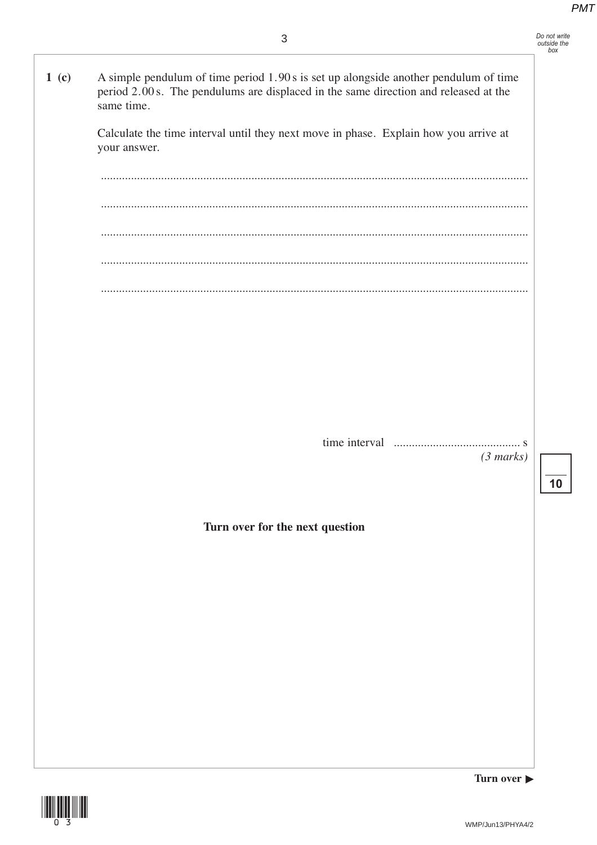10

A simple pendulum of time period 1.90 s is set up alongside another pendulum of time  $1<sub>(c)</sub>$ period 2.00 s. The pendulums are displaced in the same direction and released at the same time. Calculate the time interval until they next move in phase. Explain how you arrive at your answer.  $(3 marks)$ Turn over for the next question



Turn over ▶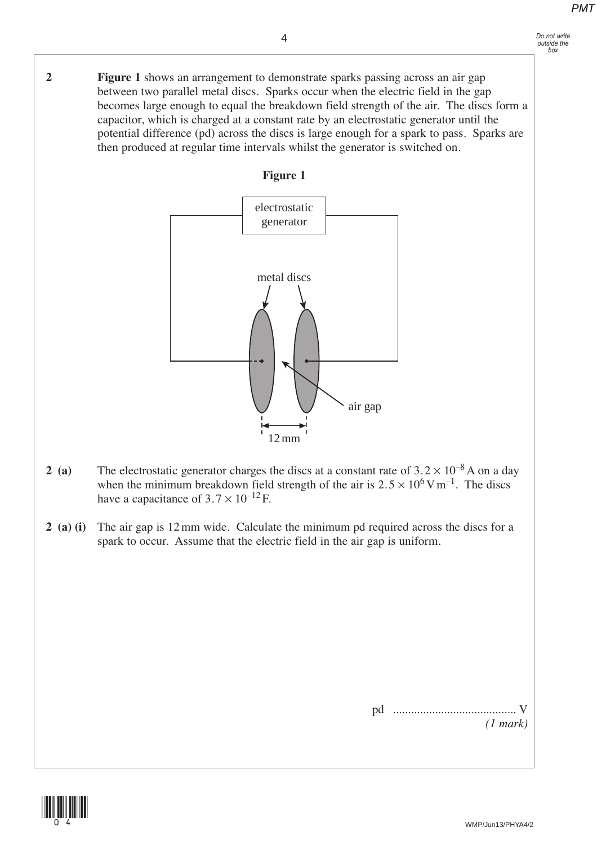**2 Figure 1** shows an arrangement to demonstrate sparks passing across an air gap between two parallel metal discs. Sparks occur when the electric field in the gap becomes large enough to equal the breakdown field strength of the air. The discs form a capacitor, which is charged at a constant rate by an electrostatic generator until the potential difference (pd) across the discs is large enough for a spark to pass. Sparks are then produced at regular time intervals whilst the generator is switched on.

4





- **2** (a) The electrostatic generator charges the discs at a constant rate of  $3.2 \times 10^{-8}$  A on a day when the minimum breakdown field strength of the air is  $2.5 \times 10^6$  V m<sup>-1</sup>. The discs have a capacitance of  $3.7 \times 10^{-12}$  F.
- **2 (a) (i)** The air gap is 12 mm wide. Calculate the minimum pd required across the discs for a spark to occur. Assume that the electric field in the air gap is uniform.

pd ......................................... V *(1 mark)*

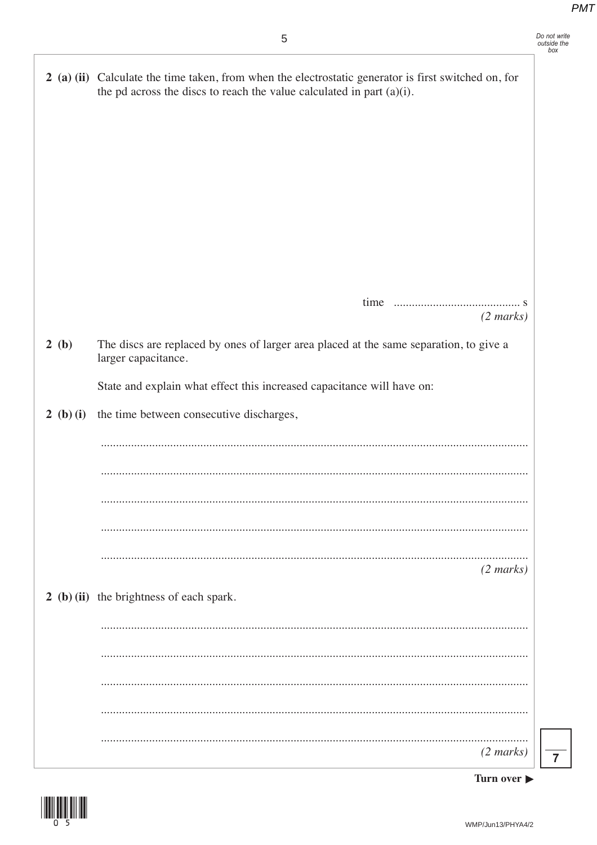|           | 2 (a) (ii) Calculate the time taken, from when the electrostatic generator is first switched on, for<br>the pd across the discs to reach the value calculated in part $(a)(i)$ . |
|-----------|----------------------------------------------------------------------------------------------------------------------------------------------------------------------------------|
|           |                                                                                                                                                                                  |
|           |                                                                                                                                                                                  |
|           |                                                                                                                                                                                  |
|           |                                                                                                                                                                                  |
|           |                                                                                                                                                                                  |
|           |                                                                                                                                                                                  |
|           |                                                                                                                                                                                  |
|           |                                                                                                                                                                                  |
|           | $(2 \text{ marks})$                                                                                                                                                              |
| 2(b)      | The discs are replaced by ones of larger area placed at the same separation, to give a<br>larger capacitance.                                                                    |
|           | State and explain what effect this increased capacitance will have on:                                                                                                           |
| 2 (b) (i) | the time between consecutive discharges,                                                                                                                                         |
|           |                                                                                                                                                                                  |
|           |                                                                                                                                                                                  |
|           |                                                                                                                                                                                  |
|           |                                                                                                                                                                                  |
|           |                                                                                                                                                                                  |
|           | $(2 \text{ marks})$                                                                                                                                                              |
|           | 2 (b) (ii) the brightness of each spark.                                                                                                                                         |
|           |                                                                                                                                                                                  |
|           |                                                                                                                                                                                  |
|           |                                                                                                                                                                                  |
|           |                                                                                                                                                                                  |
|           |                                                                                                                                                                                  |
|           | $(2 \text{ marks})$                                                                                                                                                              |

 $\overline{7}$ 

I



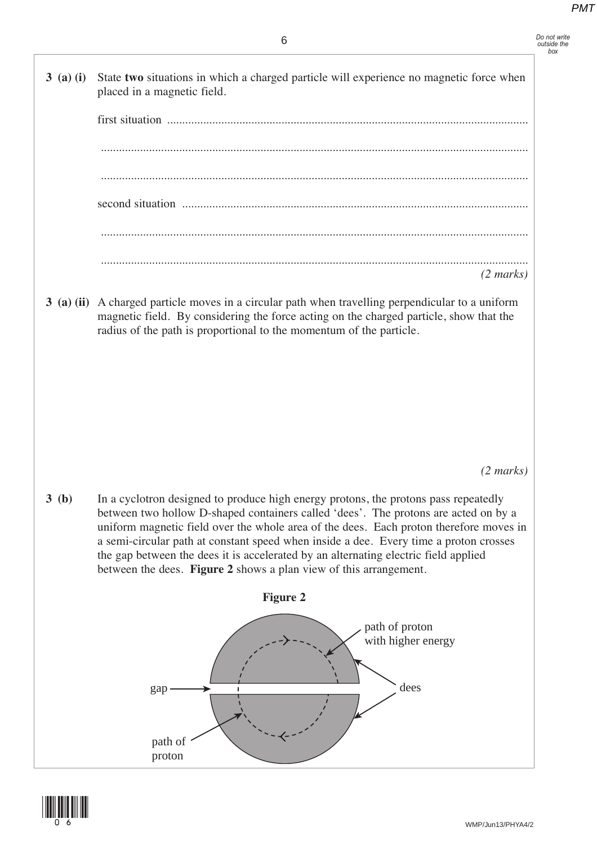**3 (a) (i)** State **two** situations in which a charged particle will experience no magnetic force when placed in a magnetic field. first situation ........................................................................................................................

.............................................................................................................................................. .............................................................................................................................................. second situation ................................................................................................................... .............................................................................................................................................. .............................................................................................................................................. *(2 marks)*

 **3 (a) (ii)** A charged particle moves in a circular path when travelling perpendicular to a uniform magnetic field. By considering the force acting on the charged particle, show that the radius of the path is proportional to the momentum of the particle.

*(2 marks)*

 **3 (b)** In a cyclotron designed to produce high energy protons, the protons pass repeatedly between two hollow D-shaped containers called 'dees'. The protons are acted on by a uniform magnetic field over the whole area of the dees. Each proton therefore moves in a semi-circular path at constant speed when inside a dee. Every time a proton crosses the gap between the dees it is accelerated by an alternating electric field applied between the dees. **Figure 2** shows a plan view of this arrangement.



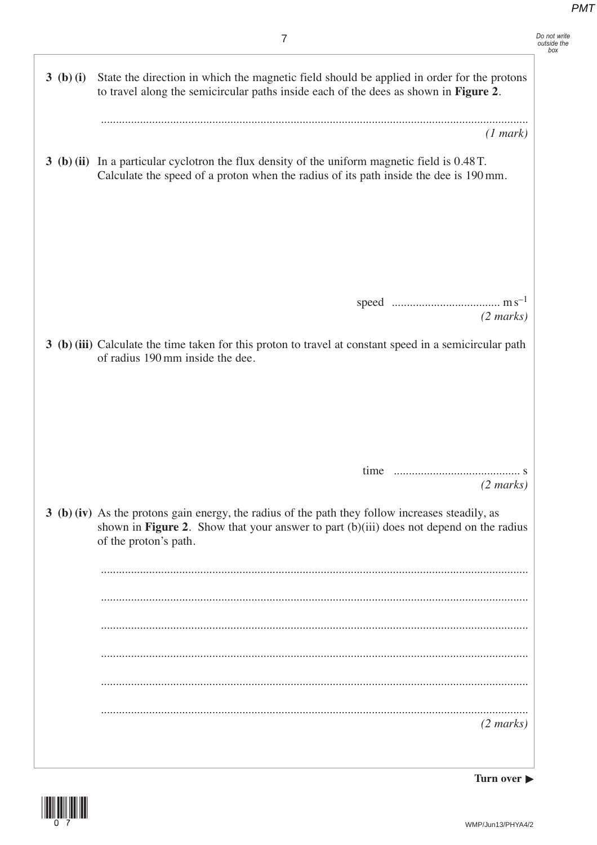| Do not write |  |
|--------------|--|
| outside the  |  |
| box          |  |

| 3 (b) (i) | State the direction in which the magnetic field should be applied in order for the protons<br>to travel along the semicircular paths inside each of the dees as shown in Figure 2.                                   |
|-----------|----------------------------------------------------------------------------------------------------------------------------------------------------------------------------------------------------------------------|
|           | (1 mark)                                                                                                                                                                                                             |
|           | 3 (b) (ii) In a particular cyclotron the flux density of the uniform magnetic field is 0.48 T.<br>Calculate the speed of a proton when the radius of its path inside the dee is 190 mm.                              |
|           |                                                                                                                                                                                                                      |
|           |                                                                                                                                                                                                                      |
|           | $(2 \text{ marks})$                                                                                                                                                                                                  |
|           | 3 (b) (iii) Calculate the time taken for this proton to travel at constant speed in a semicircular path<br>of radius 190 mm inside the dee.                                                                          |
|           |                                                                                                                                                                                                                      |
|           |                                                                                                                                                                                                                      |
|           |                                                                                                                                                                                                                      |
|           | $(2 \text{ marks})$                                                                                                                                                                                                  |
|           | 3 (b) (iv) As the protons gain energy, the radius of the path they follow increases steadily, as<br>shown in Figure 2. Show that your answer to part (b)(iii) does not depend on the radius<br>of the proton's path. |
|           |                                                                                                                                                                                                                      |
|           |                                                                                                                                                                                                                      |
|           |                                                                                                                                                                                                                      |
|           |                                                                                                                                                                                                                      |
|           |                                                                                                                                                                                                                      |
|           | $(2 \text{ marks})$                                                                                                                                                                                                  |
|           |                                                                                                                                                                                                                      |

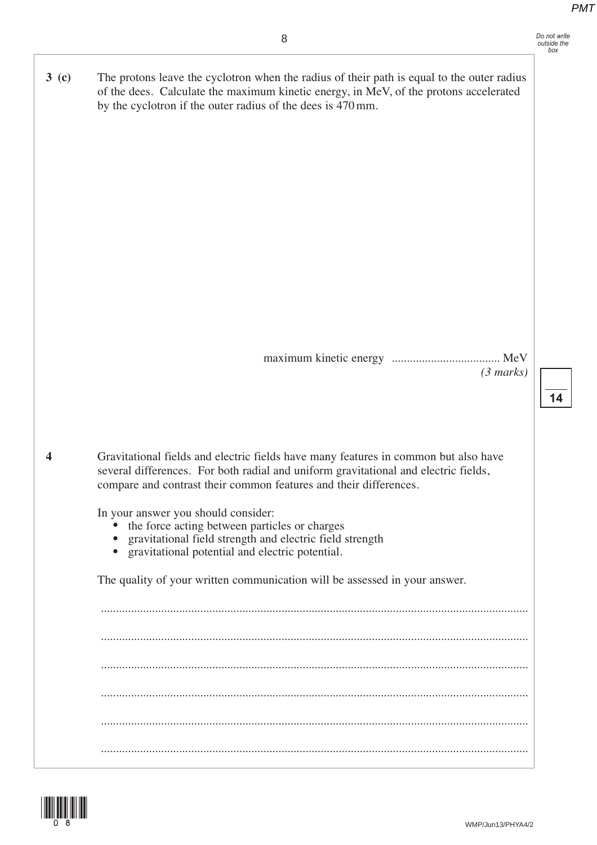**14**

by the cyclotron if the outer radius of the dees is 470 mm. maximum kinetic energy .................................... MeV *(3 marks)*  **4** Gravitational fields and electric fields have many features in common but also have several differences. For both radial and uniform gravitational and electric fields, compare and contrast their common features and their differences. In your answer you should consider: the force acting between particles or charges • gravitational field strength and electric field strength • gravitational potential and electric potential. The quality of your written communication will be assessed in your answer. .............................................................................................................................................. .............................................................................................................................................. .............................................................................................................................................. .............................................................................................................................................. .............................................................................................................................................. ..............................................................................................................................................



**3 (c)** The protons leave the cyclotron when the radius of their path is equal to the outer radius

of the dees. Calculate the maximum kinetic energy, in MeV, of the protons accelerated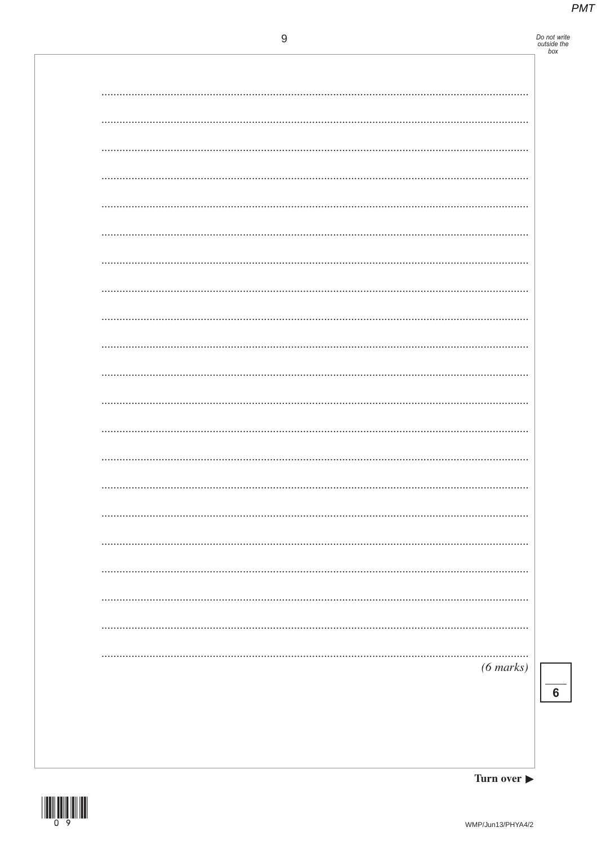# Do not write<br>outside the<br>box

| $(6 \text{ marks})$ |
|---------------------|
|                     |
|                     |



 $\overline{\mathbf{6}}$ 

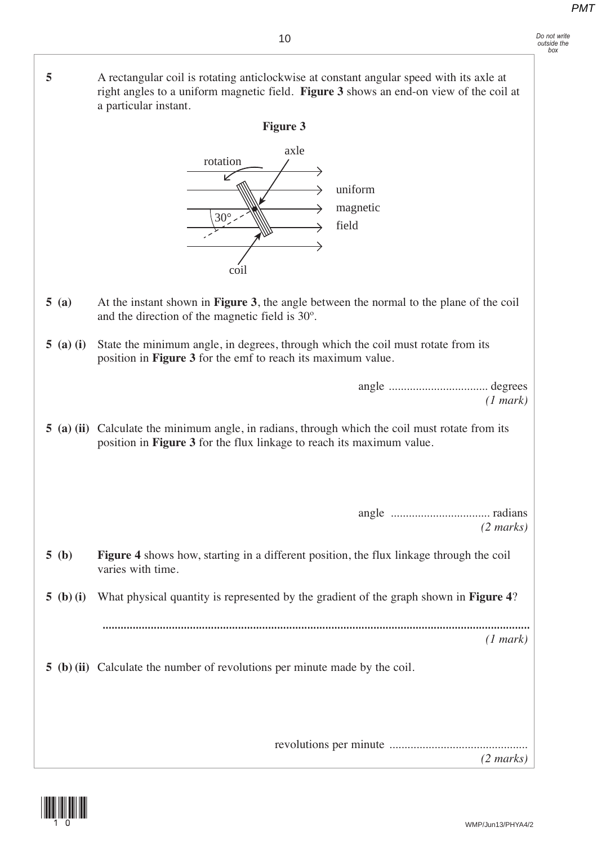*Do not write outside the box*

 **5** A rectangular coil is rotating anticlockwise at constant angular speed with its axle at right angles to a uniform magnetic field. **Figure 3** shows an end-on view of the coil at a particular instant. **Figure 3** axle rotation  $\overline{\nu}$ uniform magnetic  $\rightarrow$ 30° field coil  **5 (a)** At the instant shown in **Figure 3**, the angle between the normal to the plane of the coil and the direction of the magnetic field is 30º.  **5 (a) (i)** State the minimum angle, in degrees, through which the coil must rotate from its position in **Figure 3** for the emf to reach its maximum value. angle ................................. degrees *(1 mark)*  **5 (a) (ii)** Calculate the minimum angle, in radians, through which the coil must rotate from its position in **Figure 3** for the flux linkage to reach its maximum value. angle ................................. radians *(2 marks)*  **5 (b) Figure 4** shows how, starting in a different position, the flux linkage through the coil varies with time.  **5 (b) (i)** What physical quantity is represented by the gradient of the graph shown in **Figure 4**? .............................................................................................................................................. *(1 mark)*  **5 (b) (ii)** Calculate the number of revolutions per minute made by the coil.

> revolutions per minute .............................................. *(2 marks)*

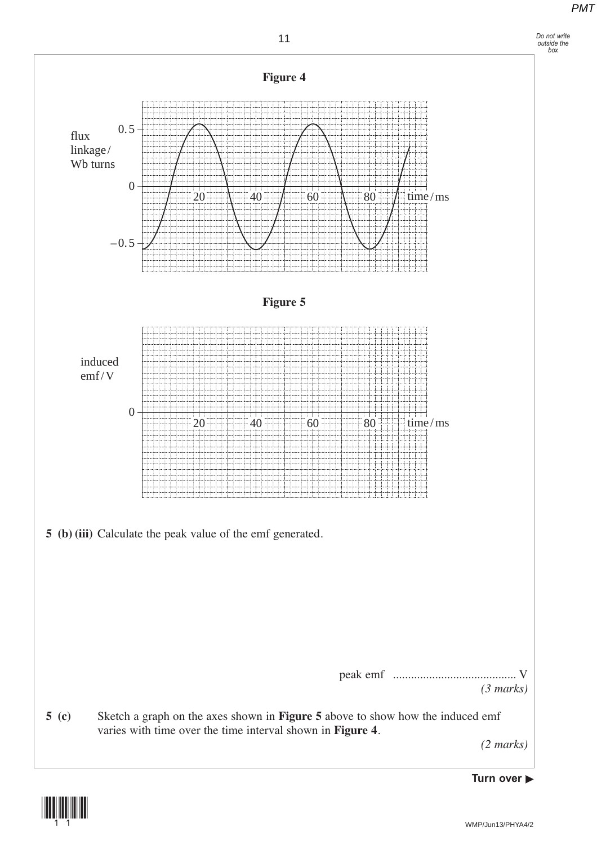*Do not write outside the box*